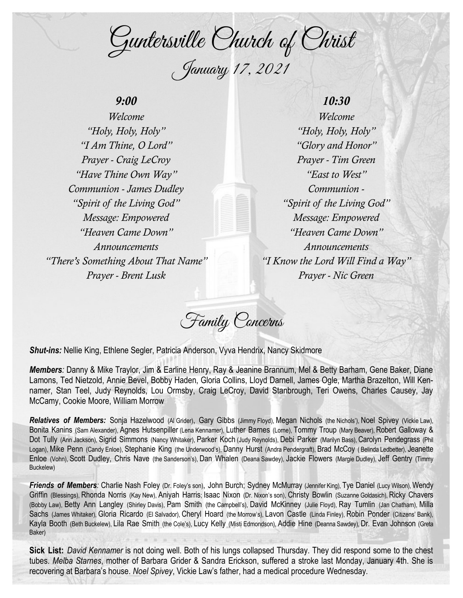Guntersville Church of Christ January 17, 2021

# *9:00*

*Welcome "Holy, Holy, Holy" "I Am Thine, O Lord" Prayer - Craig LeCroy "Have Thine Own Way" Communion - James Dudley "Spirit of the Living God" Message: Empowered "Heaven Came Down" Announcements "There's Something About That Name" Prayer - Brent Lusk*

*10:30 Welcome "Holy, Holy, Holy" "Glory and Honor" Prayer - Tim Green "East to West" Communion - "Spirit of the Living God" Message: Empowered "Heaven Came Down" Announcements "I Know the Lord Will Find a Way" Prayer - Nic Green*

Family Concerns

*Shut-ins:* Nellie King, Ethlene Segler, Patricia Anderson, Vyva Hendrix, Nancy Skidmore

*Members:* Danny & Mike Traylor, Jim & Earline Henry, Ray & Jeanine Brannum, Mel & Betty Barham, Gene Baker, Diane Lamons, Ted Nietzold, Annie Bevel, Bobby Haden, Gloria Collins, Lloyd Darnell, James Ogle, Martha Brazelton, Will Kennamer, Stan Teel, Judy Reynolds, Lou Ormsby, Craig LeCroy, David Stanbrough, Teri Owens, Charles Causey, Jay McCamy, Cookie Moore, William Morrow

*Relatives of Members:* Sonja Hazelwood (Al Grider), Gary Gibbs (Jimmy Floyd), Megan Nichols (the Nichols'), Noel Spivey (Vickie Law), Bonita Kanins (Sam Alexander), Agnes Hutsenpiller (Lena Kennamer), Luther Barnes (Lorne), Tommy Troup (Mary Beaver), Robert Galloway & Dot Tully (Ann Jackson), Sigrid Simmons (Nancy Whitaker), Parker Koch (Judy Reynolds), Debi Parker (Marilyn Bass), Carolyn Pendegrass (Phil Logan), Mike Penn (Candy Enloe), Stephanie King (the Underwood's), Danny Hurst (Andra Pendergraft), Brad McCoy ( Belinda Ledbetter), Jeanette Enloe (Vohn), Scott Dudley, Chris Nave (the Sanderson's), Dan Whalen (Deana Sawdey), Jackie Flowers (Margie Dudley), Jeff Gentry (Timmy Buckelew)

Friends of Members: Charlie Nash Foley (Dr. Foley's son), John Burch; Sydney McMurray (Jennifer King), Tye Daniel (Lucy Wilson), Wendy Griffin (Blessings), Rhonda Norris (Kay New), Aniyah Harris; Isaac Nixon (Dr. Nixon's son), Christy Bowlin (Suzanne Goldasich), Ricky Chavers (Bobby Law), Betty Ann Langley (Shirley Davis), Pam Smith (the Campbell's), David McKinney (Julie Floyd), Ray Tumlin (Jan Chatham), Milla Sachs (James Whitaker), Gloria Ricardo (El Salvador), Cheryl Hoard (the Morrow's), Lavon Castle (Linda Finley), Robin Ponder (Citizens' Bank), Kayla Booth (Beth Buckelew), Lila Rae Smith (the Cole's), Lucy Kelly (Misti Edmondson), Addie Hine (Deanna Sawdey), Dr. Evan Johnson (Greta Baker)

**Sick List:** *David Kennamer* is not doing well. Both of his lungs collapsed Thursday. They did respond some to the chest tubes. *Melba Starnes*, mother of Barbara Grider & Sandra Erickson, suffered a stroke last Monday, January 4th. She is recovering at Barbara's house. *Noel Spivey*, Vickie Law's father, had a medical procedure Wednesday.